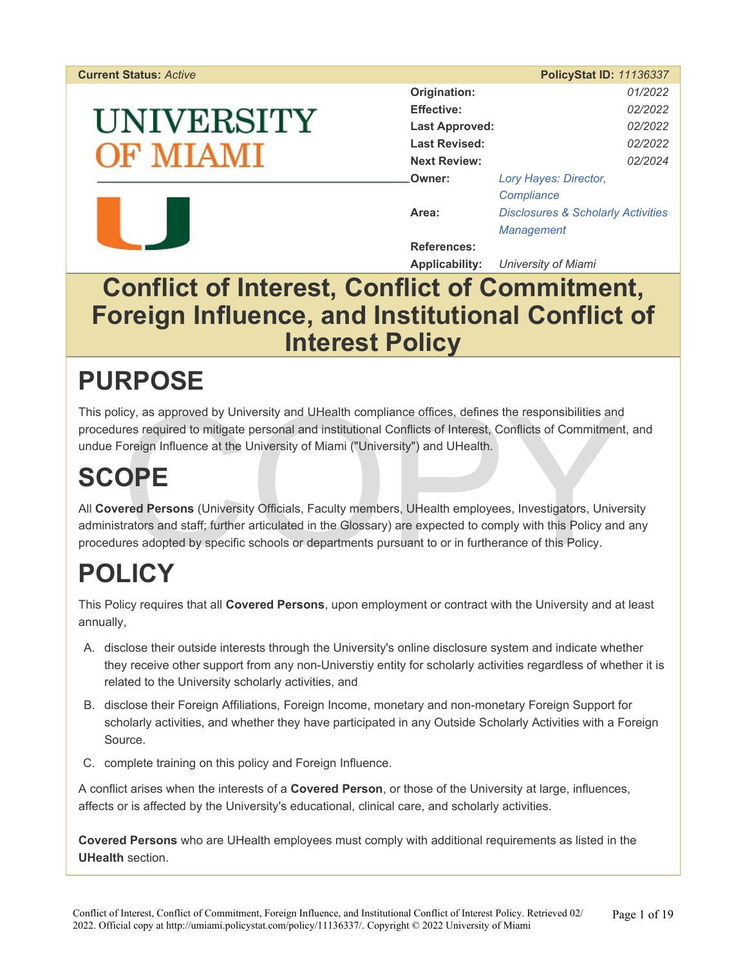#### **Current Status: Active**

# UNIVERSITY **F MIAMI**



|                       | <b>PolicyStat ID: 11136337</b>                |
|-----------------------|-----------------------------------------------|
| Origination:          | 01/2022                                       |
| <b>Effective:</b>     | 02/2022                                       |
| <b>Last Approved:</b> | 02/2022                                       |
| <b>Last Revised:</b>  | 02/2022                                       |
| <b>Next Review:</b>   | 02/2024                                       |
| Owner:                | Lory Hayes: Director,                         |
|                       | Compliance                                    |
| Area:                 | <b>Disclosures &amp; Scholarly Activities</b> |
|                       | <b>Management</b>                             |
| <b>References:</b>    |                                               |

**Applicability:** *University of Miami* 

## **Conflict of Interest, Conflict of Commitment, Foreign Influence, and Institutional Conflict of Interest Policy**

## **PURPOSE**

icy, as approved by University and UHealth compliance offices, defines the responsibilities and<br>tres required to mitigate personal and institutional Conflicts of Interest, Conflicts of Commitment<br>Foreign Influence at the U This policy, as approved by University and UHealth compliance offices, defines the responsibilities and procedures required to mitigate personal and institutional Conflicts of Interest, Conflicts of Commitment, and undue Foreign Influence at the University of Miami ("University") and UHealth.

# **SCOPE**

All **Covered Persons** (University Officials, Faculty members, UHealth employees, Investigators, University administrators and staff; further articulated in the Glossary) are expected to comply with this Policy and any procedures adopted by specific schools or departments pursuant to or in furtherance of this Policy.

# **POLICY**

This Policy requires that all **Covered Persons**, upon employment or contract with the University and at least annually,

- A. disclose their outside interests through the University's online disclosure system and indicate whether they receive other support from any non-Universtiy entity for scholarly activities regardless of whether it is related to the University scholarly activities, and
- B. disclose their Foreign Affiliations, Foreign Income, monetary and non-monetary Foreign Support for scholarly activities, and whether they have participated in any Outside Scholarly Activities with a Foreign Source.
- C. complete training on this policy and Foreign Influence.

A conflict arises when the interests of a **Covered Person**, or those of the University at large, influences, affects or is affected by the University's educational, clinical care, and scholarly activities.

**Covered Persons** who are UHealth employees must comply with additional requirements as listed in the **UHealth** section.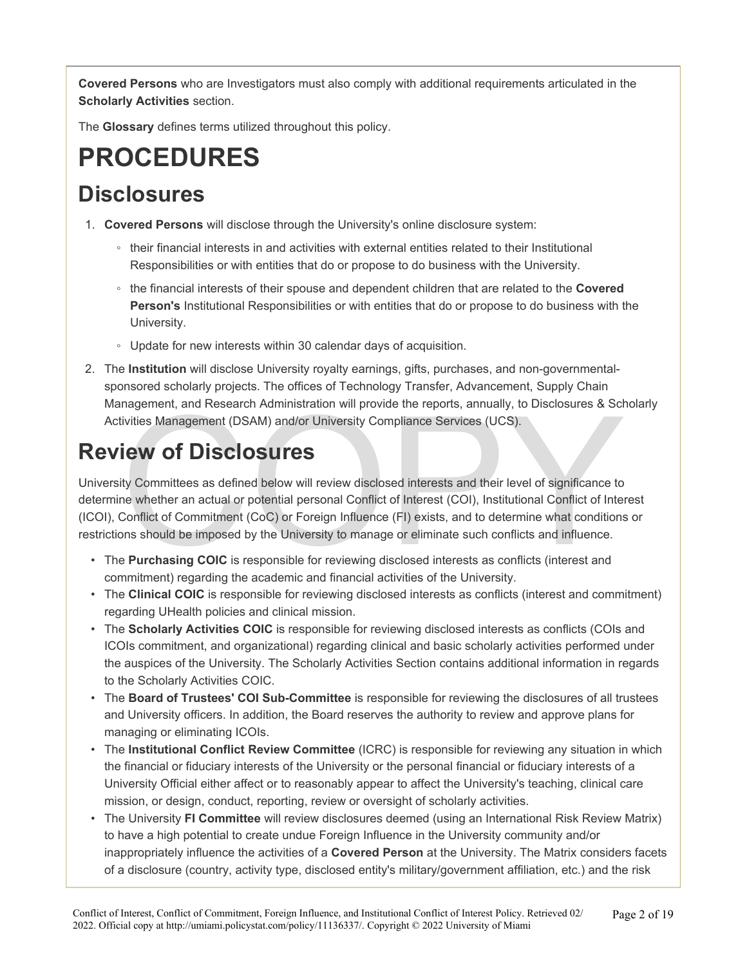**Covered Persons** who are Investigators must also comply with additional requirements articulated in the **Scholarly Activities** section.

The **Glossary** defines terms utilized throughout this policy.

## **PROCEDURES**

#### **Disclosures**

- 1. **Covered Persons** will disclose through the University's online disclosure system:
	- their financial interests in and activities with external entities related to their Institutional Responsibilities or with entities that do or propose to do business with the University.
	- the financial interests of their spouse and dependent children that are related to the **Covered Person's** Institutional Responsibilities or with entities that do or propose to do business with the University.
	- Update for new interests within 30 calendar days of acquisition.
- 2. The **Institution** will disclose University royalty earnings, gifts, purchases, and non-governmentalsponsored scholarly projects. The offices of Technology Transfer, Advancement, Supply Chain Management, and Research Administration will provide the reports, annually, to Disclosures & Scholarly Activities Management (DSAM) and/or University Compliance Services (UCS).

## **Review of Disclosures**

nagement, and Research Administration will provide the reports, annually, to Disclosures & Schivities Management (DSAM) and/or University Compliance Services (UCS).<br> **Lew of Disclosure** as defined below will review disclos University Committees as defined below will review disclosed interests and their level of significance to determine whether an actual or potential personal Conflict of Interest (COI), Institutional Conflict of Interest (ICOI), Conflict of Commitment (CoC) or Foreign Influence (FI) exists, and to determine what conditions or restrictions should be imposed by the University to manage or eliminate such conflicts and influence.

- The **Purchasing COIC** is responsible for reviewing disclosed interests as conflicts (interest and commitment) regarding the academic and financial activities of the University.
- The **Clinical COIC** is responsible for reviewing disclosed interests as conflicts (interest and commitment) regarding UHealth policies and clinical mission.
- The **Scholarly Activities COIC** is responsible for reviewing disclosed interests as conflicts (COIs and ICOIs commitment, and organizational) regarding clinical and basic scholarly activities performed under the auspices of the University. The Scholarly Activities Section contains additional information in regards to the Scholarly Activities COIC.
- The **Board of Trustees' COI Sub-Committee** is responsible for reviewing the disclosures of all trustees and University officers. In addition, the Board reserves the authority to review and approve plans for managing or eliminating ICOIs.
- The **Institutional Conflict Review Committee** (ICRC) is responsible for reviewing any situation in which the financial or fiduciary interests of the University or the personal financial or fiduciary interests of a University Official either affect or to reasonably appear to affect the University's teaching, clinical care mission, or design, conduct, reporting, review or oversight of scholarly activities.
- The University **FI Committee** will review disclosures deemed (using an International Risk Review Matrix) to have a high potential to create undue Foreign Influence in the University community and/or inappropriately influence the activities of a **Covered Person** at the University. The Matrix considers facets of a disclosure (country, activity type, disclosed entity's military/government affiliation, etc.) and the risk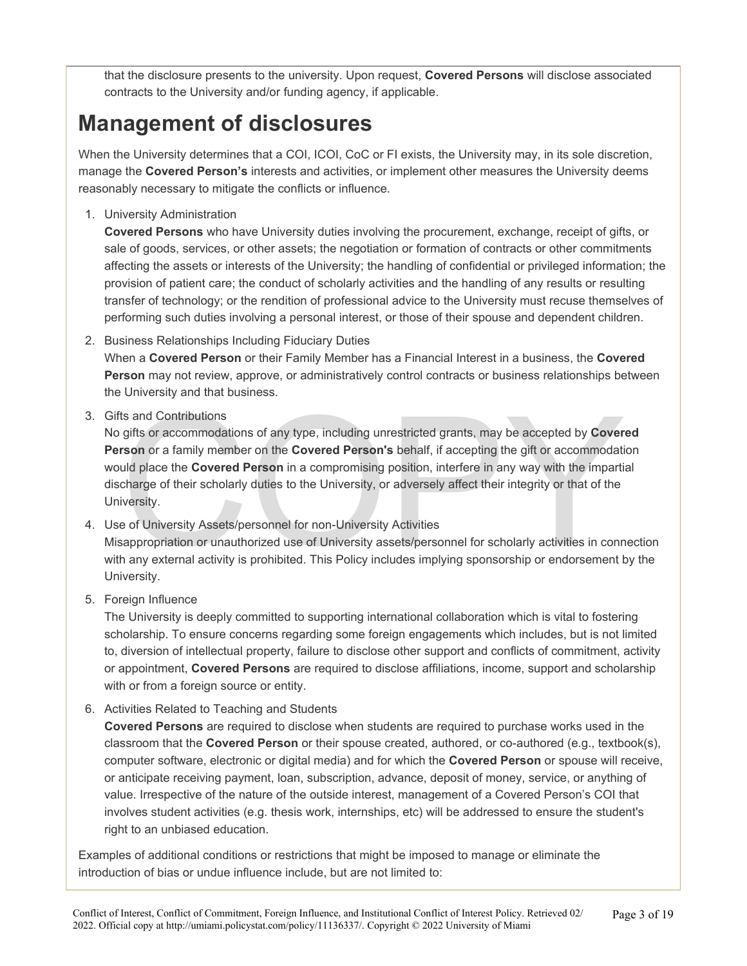that the disclosure presents to the university. Upon request, **Covered Persons** will disclose associated contracts to the University and/or funding agency, if applicable.

### **Management of disclosures**

When the University determines that a COI, ICOI, CoC or FI exists, the University may, in its sole discretion, manage the **Covered Person's** interests and activities, or implement other measures the University deems reasonably necessary to mitigate the conflicts or influence.

1. University Administration

**Covered Persons** who have University duties involving the procurement, exchange, receipt of gifts, or sale of goods, services, or other assets; the negotiation or formation of contracts or other commitments affecting the assets or interests of the University; the handling of confidential or privileged information; the provision of patient care; the conduct of scholarly activities and the handling of any results or resulting transfer of technology; or the rendition of professional advice to the University must recuse themselves of performing such duties involving a personal interest, or those of their spouse and dependent children.

2. Business Relationships Including Fiduciary Duties

When a **Covered Person** or their Family Member has a Financial Interest in a business, the **Covered Person** may not review, approve, or administratively control contracts or business relationships between the University and that business.

3. Gifts and Contributions

ts and Contributions<br>gifts or accommodations of any type, including unrestricted grants, may be accepted by Cover<br>rson or a family member on the Covered Person's behalf, if accepting the gift or accommodati<br>uld place the C No gifts or accommodations of any type, including unrestricted grants, may be accepted by **Covered Person** or a family member on the **Covered Person's** behalf, if accepting the gift or accommodation would place the **Covered Person** in a compromising position, interfere in any way with the impartial discharge of their scholarly duties to the University, or adversely affect their integrity or that of the University.

- 4. Use of University Assets/personnel for non-University Activities Misappropriation or unauthorized use of University assets/personnel for scholarly activities in connection with any external activity is prohibited. This Policy includes implying sponsorship or endorsement by the University.
- 5. Foreign Influence

The University is deeply committed to supporting international collaboration which is vital to fostering scholarship. To ensure concerns regarding some foreign engagements which includes, but is not limited to, diversion of intellectual property, failure to disclose other support and conflicts of commitment, activity or appointment, **Covered Persons** are required to disclose affiliations, income, support and scholarship with or from a foreign source or entity.

6. Activities Related to Teaching and Students

**Covered Persons** are required to disclose when students are required to purchase works used in the classroom that the **Covered Person** or their spouse created, authored, or co-authored (e.g., textbook(s), computer software, electronic or digital media) and for which the **Covered Person** or spouse will receive, or anticipate receiving payment, loan, subscription, advance, deposit of money, service, or anything of value. Irrespective of the nature of the outside interest, management of a Covered Person's COI that involves student activities (e.g. thesis work, internships, etc) will be addressed to ensure the student's right to an unbiased education.

Examples of additional conditions or restrictions that might be imposed to manage or eliminate the introduction of bias or undue influence include, but are not limited to: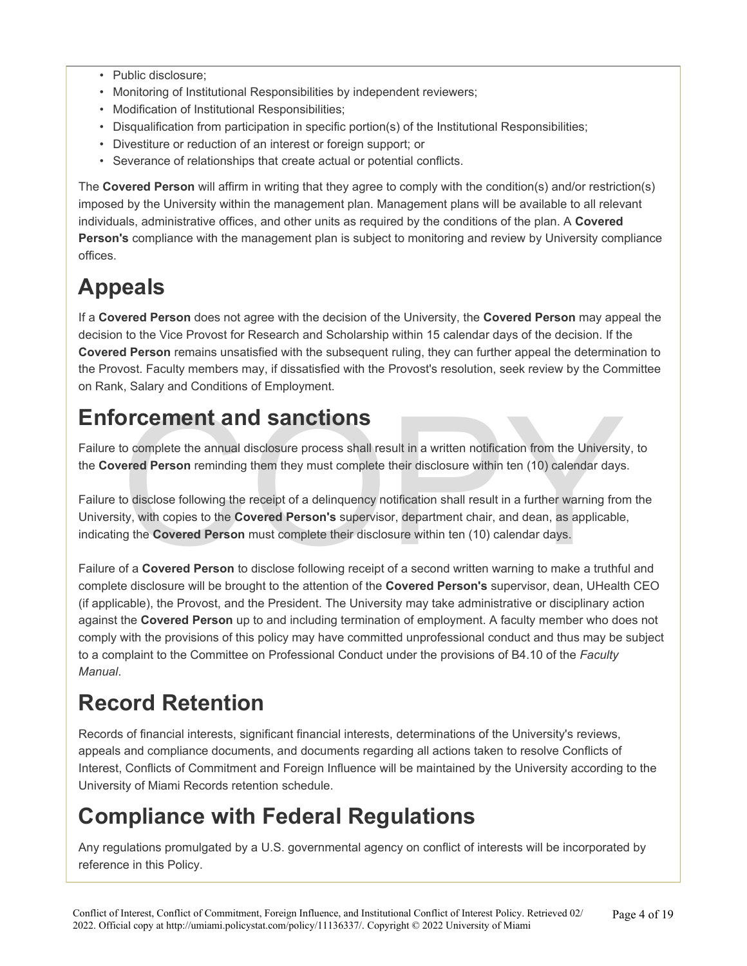- Public disclosure;
- Monitoring of Institutional Responsibilities by independent reviewers;
- Modification of Institutional Responsibilities;
- Disqualification from participation in specific portion(s) of the Institutional Responsibilities;
- Divestiture or reduction of an interest or foreign support; or
- Severance of relationships that create actual or potential conflicts.

The **Covered Person** will affirm in writing that they agree to comply with the condition(s) and/or restriction(s) imposed by the University within the management plan. Management plans will be available to all relevant individuals, administrative offices, and other units as required by the conditions of the plan. A **Covered Person's** compliance with the management plan is subject to monitoring and review by University compliance offices.

## **Appeals**

If a **Covered Person** does not agree with the decision of the University, the **Covered Person** may appeal the decision to the Vice Provost for Research and Scholarship within 15 calendar days of the decision. If the **Covered Person** remains unsatisfied with the subsequent ruling, they can further appeal the determination to the Provost. Faculty members may, if dissatisfied with the Provost's resolution, seek review by the Committee on Rank, Salary and Conditions of Employment.

#### **Enforcement and sanctions**

Failure to complete the annual disclosure process shall result in a written notification from the University, to the **Covered Person** reminding them they must complete their disclosure within ten (10) calendar days.

Dreement and sanctions<br>to complete the annual disclosure process shall result in a written notification from the University<br>red Person reminding them they must complete their disclosure within ten (10) calendar days<br>to dis Failure to disclose following the receipt of a delinquency notification shall result in a further warning from the University, with copies to the **Covered Person's** supervisor, department chair, and dean, as applicable, indicating the **Covered Person** must complete their disclosure within ten (10) calendar days.

Failure of a **Covered Person** to disclose following receipt of a second written warning to make a truthful and complete disclosure will be brought to the attention of the **Covered Person's** supervisor, dean, UHealth CEO (if applicable), the Provost, and the President. The University may take administrative or disciplinary action against the **Covered Person** up to and including termination of employment. A faculty member who does not comply with the provisions of this policy may have committed unprofessional conduct and thus may be subject to a complaint to the Committee on Professional Conduct under the provisions of B4.10 of the *Faculty Manual*.

### **Record Retention**

Records of financial interests, significant financial interests, determinations of the University's reviews, appeals and compliance documents, and documents regarding all actions taken to resolve Conflicts of Interest, Conflicts of Commitment and Foreign Influence will be maintained by the University according to the University of Miami Records retention schedule.

### **Compliance with Federal Regulations**

Any regulations promulgated by a U.S. governmental agency on conflict of interests will be incorporated by reference in this Policy.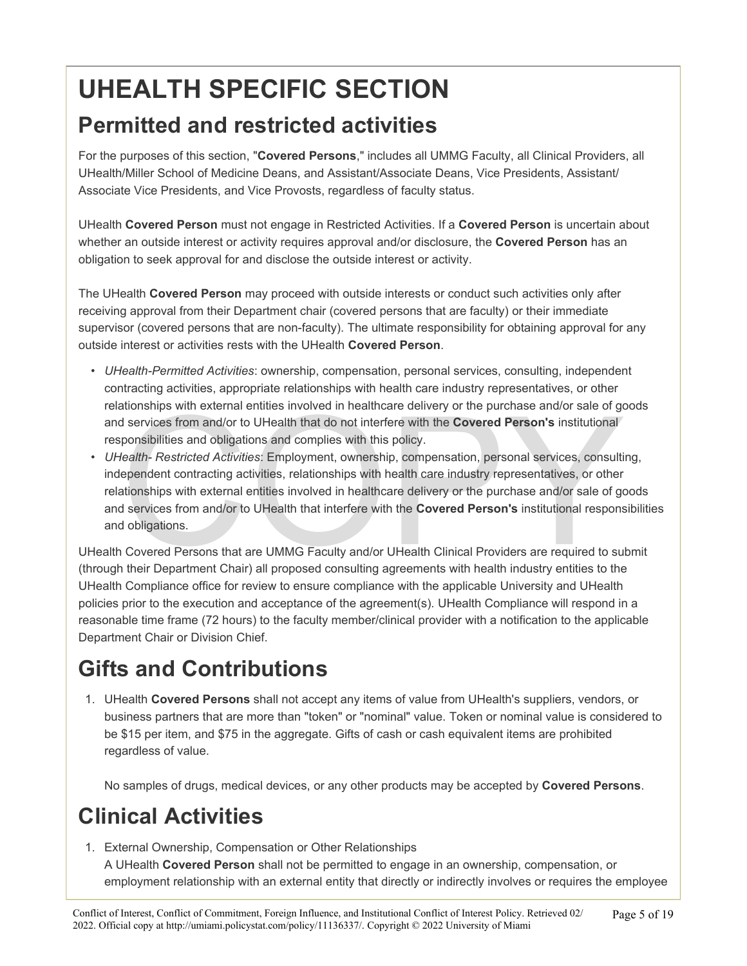# **UHEALTH SPECIFIC SECTION**

#### **Permitted and restricted activities**

For the purposes of this section, "**Covered Persons**," includes all UMMG Faculty, all Clinical Providers, all UHealth/Miller School of Medicine Deans, and Assistant/Associate Deans, Vice Presidents, Assistant/ Associate Vice Presidents, and Vice Provosts, regardless of faculty status.

UHealth **Covered Person** must not engage in Restricted Activities. If a **Covered Person** is uncertain about whether an outside interest or activity requires approval and/or disclosure, the **Covered Person** has an obligation to seek approval for and disclose the outside interest or activity.

The UHealth **Covered Person** may proceed with outside interests or conduct such activities only after receiving approval from their Department chair (covered persons that are faculty) or their immediate supervisor (covered persons that are non-faculty). The ultimate responsibility for obtaining approval for any outside interest or activities rests with the UHealth **Covered Person**.

- *UHealth-Permitted Activities*: ownership, compensation, personal services, consulting, independent contracting activities, appropriate relationships with health care industry representatives, or other relationships with external entities involved in healthcare delivery or the purchase and/or sale of goods and services from and/or to UHealth that do not interfere with the **Covered Person's** institutional responsibilities and obligations and complies with this policy.
- ationships with external entities involved in healthcare delivery or the purchase and/or sale of got services from and/or to UHealth that do not interfere with the **Covered Person's** institutional ponsibilities and obligat • *UHealth- Restricted Activities*: Employment, ownership, compensation, personal services, consulting, independent contracting activities, relationships with health care industry representatives, or other relationships with external entities involved in healthcare delivery or the purchase and/or sale of goods and services from and/or to UHealth that interfere with the **Covered Person's** institutional responsibilities and obligations.

UHealth Covered Persons that are UMMG Faculty and/or UHealth Clinical Providers are required to submit (through their Department Chair) all proposed consulting agreements with health industry entities to the UHealth Compliance office for review to ensure compliance with the applicable University and UHealth policies prior to the execution and acceptance of the agreement(s). UHealth Compliance will respond in a reasonable time frame (72 hours) to the faculty member/clinical provider with a notification to the applicable Department Chair or Division Chief.

## **Gifts and Contributions**

1. UHealth **Covered Persons** shall not accept any items of value from UHealth's suppliers, vendors, or business partners that are more than "token" or "nominal" value. Token or nominal value is considered to be \$15 per item, and \$75 in the aggregate. Gifts of cash or cash equivalent items are prohibited regardless of value.

No samples of drugs, medical devices, or any other products may be accepted by **Covered Persons**.

## **Clinical Activities**

1. External Ownership, Compensation or Other Relationships A UHealth **Covered Person** shall not be permitted to engage in an ownership, compensation, or employment relationship with an external entity that directly or indirectly involves or requires the employee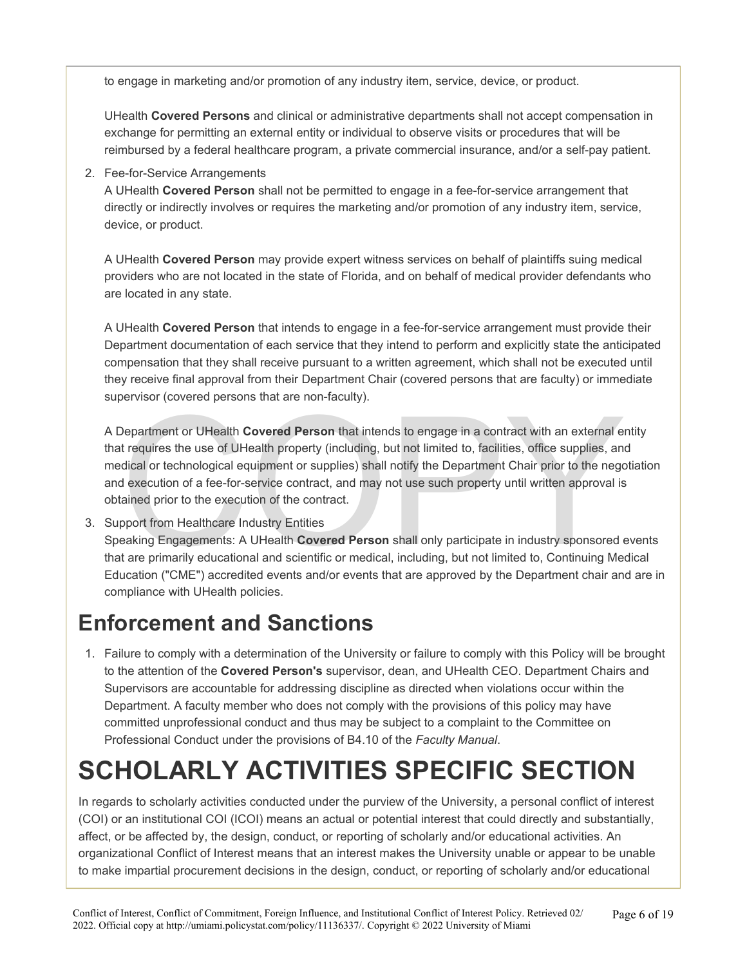to engage in marketing and/or promotion of any industry item, service, device, or product.

UHealth **Covered Persons** and clinical or administrative departments shall not accept compensation in exchange for permitting an external entity or individual to observe visits or procedures that will be reimbursed by a federal healthcare program, a private commercial insurance, and/or a self-pay patient.

2. Fee-for-Service Arrangements

A UHealth **Covered Person** shall not be permitted to engage in a fee-for-service arrangement that directly or indirectly involves or requires the marketing and/or promotion of any industry item, service, device, or product.

A UHealth **Covered Person** may provide expert witness services on behalf of plaintiffs suing medical providers who are not located in the state of Florida, and on behalf of medical provider defendants who are located in any state.

A UHealth **Covered Person** that intends to engage in a fee-for-service arrangement must provide their Department documentation of each service that they intend to perform and explicitly state the anticipated compensation that they shall receive pursuant to a written agreement, which shall not be executed until they receive final approval from their Department Chair (covered persons that are faculty) or immediate supervisor (covered persons that are non-faculty).

Department or UHealth Covered Person that intends to engage in a contract with an external exercises the use of UHealth property (including, but not limited to, facilities, office supplies, andical or technological equipme A Department or UHealth **Covered Person** that intends to engage in a contract with an external entity that requires the use of UHealth property (including, but not limited to, facilities, office supplies, and medical or technological equipment or supplies) shall notify the Department Chair prior to the negotiation and execution of a fee-for-service contract, and may not use such property until written approval is obtained prior to the execution of the contract.

3. Support from Healthcare Industry Entities

Speaking Engagements: A UHealth **Covered Person** shall only participate in industry sponsored events that are primarily educational and scientific or medical, including, but not limited to, Continuing Medical Education ("CME") accredited events and/or events that are approved by the Department chair and are in compliance with UHealth policies.

#### **Enforcement and Sanctions**

1. Failure to comply with a determination of the University or failure to comply with this Policy will be brought to the attention of the **Covered Person's** supervisor, dean, and UHealth CEO. Department Chairs and Supervisors are accountable for addressing discipline as directed when violations occur within the Department. A faculty member who does not comply with the provisions of this policy may have committed unprofessional conduct and thus may be subject to a complaint to the Committee on Professional Conduct under the provisions of B4.10 of the *Faculty Manual*.

## **SCHOLARLY ACTIVITIES SPECIFIC SECTION**

In regards to scholarly activities conducted under the purview of the University, a personal conflict of interest (COI) or an institutional COI (ICOI) means an actual or potential interest that could directly and substantially, affect, or be affected by, the design, conduct, or reporting of scholarly and/or educational activities. An organizational Conflict of Interest means that an interest makes the University unable or appear to be unable to make impartial procurement decisions in the design, conduct, or reporting of scholarly and/or educational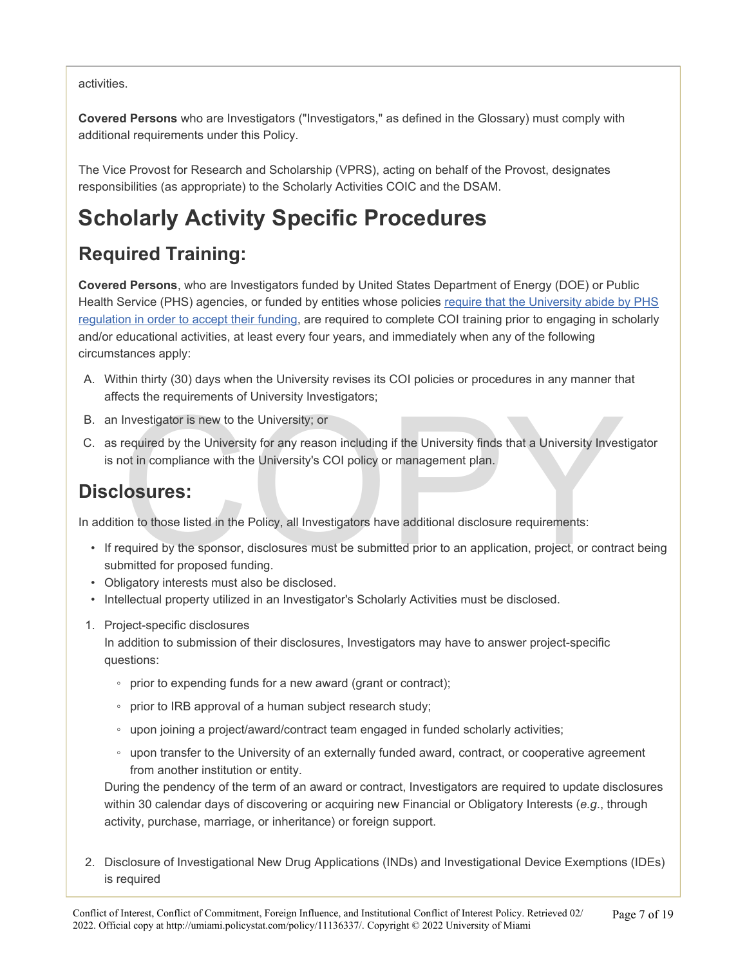#### activities.

**Covered Persons** who are Investigators ("Investigators," as defined in the Glossary) must comply with additional requirements under this Policy.

The Vice Provost for Research and Scholarship (VPRS), acting on behalf of the Provost, designates responsibilities (as appropriate) to the Scholarly Activities COIC and the DSAM.

## **Scholarly Activity Specific Procedures**

#### **Required Training:**

**Covered Persons**, who are Investigators funded by United States Department of Energy (DOE) or Public Health Service (PHS) agencies, or funded by entities whose policies [require that the University abide by PHS](https://research.miami.edu/_assets/pdf/udisclose/phs-list.pdf) [regulation in order to accept their funding,](https://research.miami.edu/_assets/pdf/udisclose/phs-list.pdf) are required to complete COI training prior to engaging in scholarly and/or educational activities, at least every four years, and immediately when any of the following circumstances apply:

- A. Within thirty (30) days when the University revises its COI policies or procedures in any manner that affects the requirements of University Investigators;
- B. an Investigator is new to the University; or
- Investigator is new to the University; or<br>required by the University for any reason including if the University finds that a University Invest<br>not in compliance with the University's COI policy or management plan.<br>**COSUTES** C. as required by the University for any reason including if the University finds that a University Investigator is not in compliance with the University's COI policy or management plan.

#### **Disclosures:**

In addition to those listed in the Policy, all Investigators have additional disclosure requirements:

- If required by the sponsor, disclosures must be submitted prior to an application, project, or contract being submitted for proposed funding.
- Obligatory interests must also be disclosed.
- Intellectual property utilized in an Investigator's Scholarly Activities must be disclosed.
- 1. Project-specific disclosures

In addition to submission of their disclosures, Investigators may have to answer project-specific questions:

- prior to expending funds for a new award (grant or contract);
- prior to IRB approval of a human subject research study;
- upon joining a project/award/contract team engaged in funded scholarly activities;
- upon transfer to the University of an externally funded award, contract, or cooperative agreement from another institution or entity.

During the pendency of the term of an award or contract, Investigators are required to update disclosures within 30 calendar days of discovering or acquiring new Financial or Obligatory Interests (*e.g*., through activity, purchase, marriage, or inheritance) or foreign support.

2. Disclosure of Investigational New Drug Applications (INDs) and Investigational Device Exemptions (IDEs) is required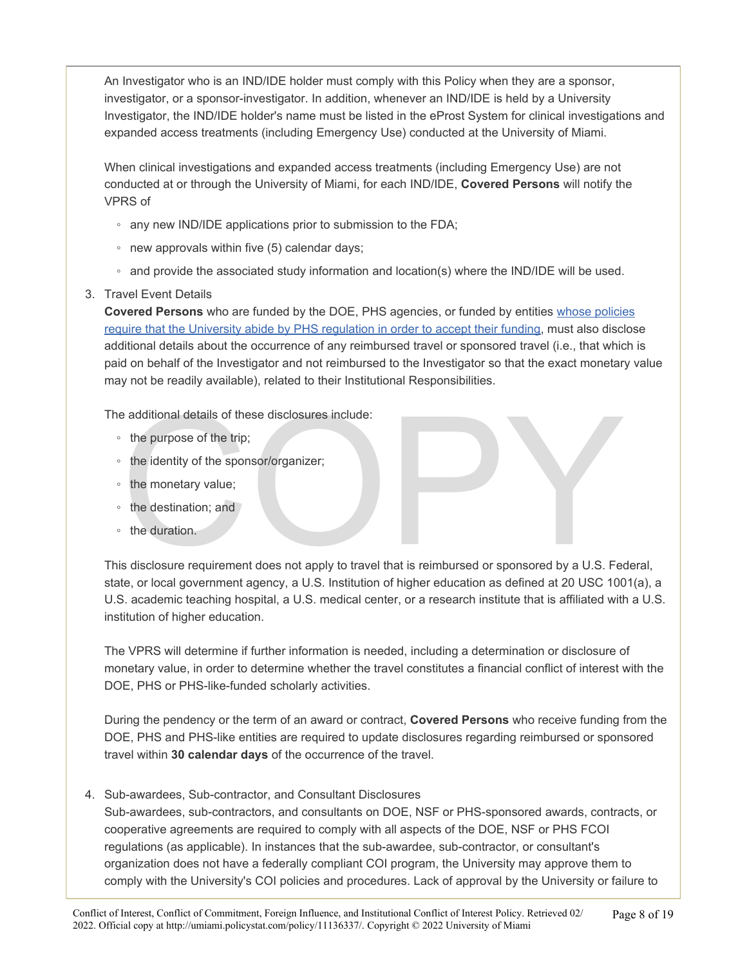An Investigator who is an IND/IDE holder must comply with this Policy when they are a sponsor, investigator, or a sponsor-investigator. In addition, whenever an IND/IDE is held by a University Investigator, the IND/IDE holder's name must be listed in the eProst System for clinical investigations and expanded access treatments (including Emergency Use) conducted at the University of Miami.

When clinical investigations and expanded access treatments (including Emergency Use) are not conducted at or through the University of Miami, for each IND/IDE, **Covered Persons** will notify the VPRS of

- any new IND/IDE applications prior to submission to the FDA;
- new approvals within five (5) calendar days;
- and provide the associated study information and location(s) where the IND/IDE will be used.
- 3. Travel Event Details

**Covered Persons** who are funded by the DOE, PHS agencies, or funded by entities [whose policies](https://research.miami.edu/_assets/pdf/udisclose/phs-list.pdf)  [require that the University abide by PHS regulation in order to accept their funding](https://research.miami.edu/_assets/pdf/udisclose/phs-list.pdf), must also disclose additional details about the occurrence of any reimbursed travel or sponsored travel (i.e., that which is paid on behalf of the Investigator and not reimbursed to the Investigator so that the exact monetary value may not be readily available), related to their Institutional Responsibilities.

The additional details of these disclosures include:

- the purpose of the trip;
- the identity of the sponsor/organizer;
- the monetary value;
- the destination; and
- the duration.

e additional details of these disclosures include:<br>
the purpose of the trip;<br>
the identity of the sponsor/organizer;<br>
the monetary value;<br>
the destination; and<br>
the duration.<br>
s disclosure requirement does not apply to tra This disclosure requirement does not apply to travel that is reimbursed or sponsored by a U.S. Federal, state, or local government agency, a U.S. Institution of higher education as defined at 20 USC 1001(a), a U.S. academic teaching hospital, a U.S. medical center, or a research institute that is affiliated with a U.S. institution of higher education.

The VPRS will determine if further information is needed, including a determination or disclosure of monetary value, in order to determine whether the travel constitutes a financial conflict of interest with the DOE, PHS or PHS-like-funded scholarly activities.

During the pendency or the term of an award or contract, **Covered Persons** who receive funding from the DOE, PHS and PHS-like entities are required to update disclosures regarding reimbursed or sponsored travel within **30 calendar days** of the occurrence of the travel.

4. Sub-awardees, Sub-contractor, and Consultant Disclosures

Sub-awardees, sub-contractors, and consultants on DOE, NSF or PHS-sponsored awards, contracts, or cooperative agreements are required to comply with all aspects of the DOE, NSF or PHS FCOI regulations (as applicable). In instances that the sub-awardee, sub-contractor, or consultant's organization does not have a federally compliant COI program, the University may approve them to comply with the University's COI policies and procedures. Lack of approval by the University or failure to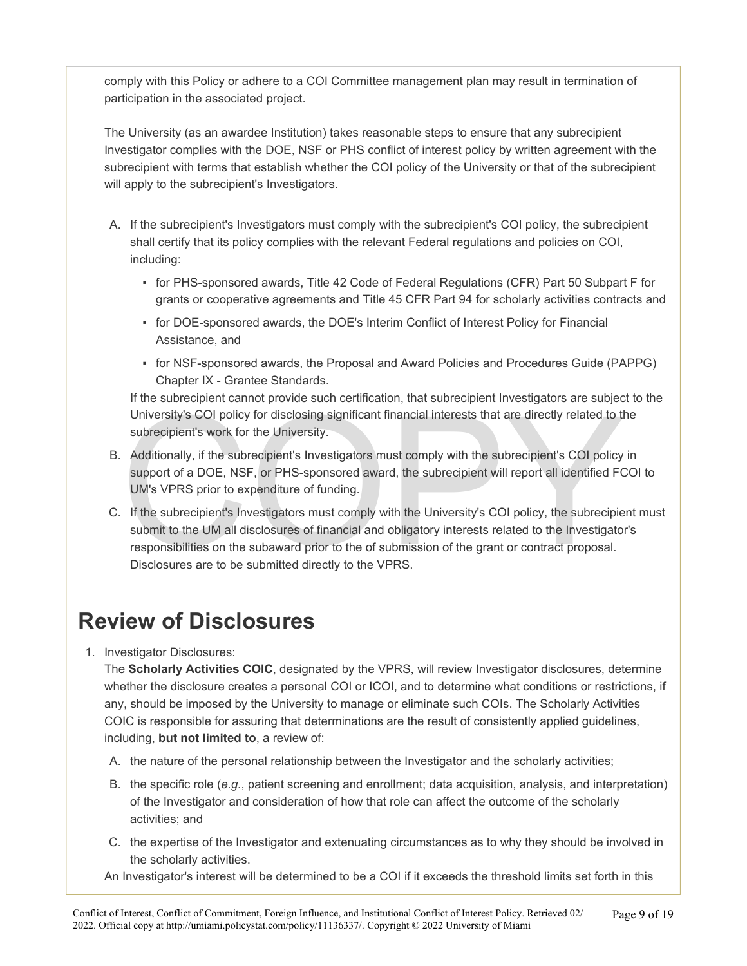comply with this Policy or adhere to a COI Committee management plan may result in termination of participation in the associated project.

The University (as an awardee Institution) takes reasonable steps to ensure that any subrecipient Investigator complies with the DOE, NSF or PHS conflict of interest policy by written agreement with the subrecipient with terms that establish whether the COI policy of the University or that of the subrecipient will apply to the subrecipient's Investigators.

- A. If the subrecipient's Investigators must comply with the subrecipient's COI policy, the subrecipient shall certify that its policy complies with the relevant Federal regulations and policies on COI, including:
	- for PHS-sponsored awards, Title 42 Code of Federal Regulations (CFR) Part 50 Subpart F for grants or cooperative agreements and Title 45 CFR Part 94 for scholarly activities contracts and
	- for DOE-sponsored awards, the DOE's Interim Conflict of Interest Policy for Financial Assistance, and
	- for NSF-sponsored awards, the Proposal and Award Policies and Procedures Guide (PAPPG) Chapter IX - Grantee Standards.

If the subrecipient cannot provide such certification, that subrecipient Investigators are subject to the University's COI policy for disclosing significant financial interests that are directly related to the subrecipient's work for the University.

- B. Additionally, if the subrecipient's Investigators must comply with the subrecipient's COI policy in support of a DOE, NSF, or PHS-sponsored award, the subrecipient will report all identified FCOI to UM's VPRS prior to expenditure of funding.
- In the subrecipient cannot provide start community, that subrecipient investigates are subjected to the subrecipient's work for the University.<br>Additionally, if the subrecipient's Investigators must comply with the subreci C. If the subrecipient's Investigators must comply with the University's COI policy, the subrecipient must submit to the UM all disclosures of financial and obligatory interests related to the Investigator's responsibilities on the subaward prior to the of submission of the grant or contract proposal. Disclosures are to be submitted directly to the VPRS.

#### **Review of Disclosures**

1. Investigator Disclosures:

The **Scholarly Activities COIC**, designated by the VPRS, will review Investigator disclosures, determine whether the disclosure creates a personal COI or ICOI, and to determine what conditions or restrictions, if any, should be imposed by the University to manage or eliminate such COIs. The Scholarly Activities COIC is responsible for assuring that determinations are the result of consistently applied guidelines, including, **but not limited to**, a review of:

- A. the nature of the personal relationship between the Investigator and the scholarly activities;
- B. the specific role (*e.g.*, patient screening and enrollment; data acquisition, analysis, and interpretation) of the Investigator and consideration of how that role can affect the outcome of the scholarly activities; and
- C. the expertise of the Investigator and extenuating circumstances as to why they should be involved in the scholarly activities.

An Investigator's interest will be determined to be a COI if it exceeds the threshold limits set forth in this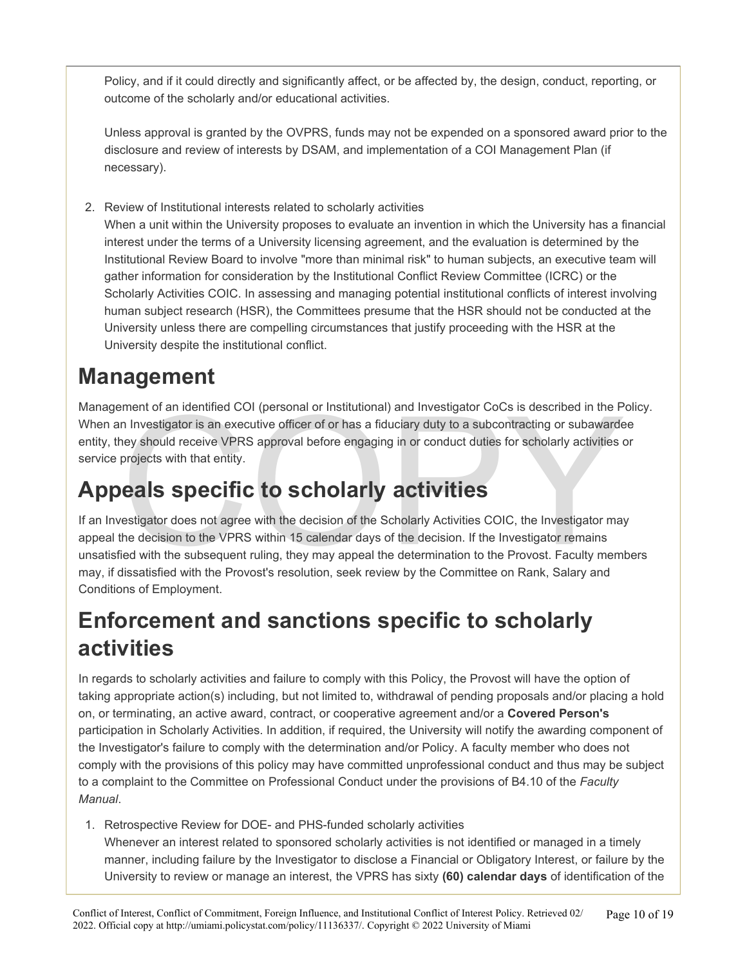Policy, and if it could directly and significantly affect, or be affected by, the design, conduct, reporting, or outcome of the scholarly and/or educational activities.

Unless approval is granted by the OVPRS, funds may not be expended on a sponsored award prior to the disclosure and review of interests by DSAM, and implementation of a COI Management Plan (if necessary).

2. Review of Institutional interests related to scholarly activities

When a unit within the University proposes to evaluate an invention in which the University has a financial interest under the terms of a University licensing agreement, and the evaluation is determined by the Institutional Review Board to involve "more than minimal risk" to human subjects, an executive team will gather information for consideration by the Institutional Conflict Review Committee (ICRC) or the Scholarly Activities COIC. In assessing and managing potential institutional conflicts of interest involving human subject research (HSR), the Committees presume that the HSR should not be conducted at the University unless there are compelling circumstances that justify proceeding with the HSR at the University despite the institutional conflict.

#### **Management**

Management of an identified COI (personal or Institutional) and Investigator CoCs is described in the Policy. When an Investigator is an executive officer of or has a fiduciary duty to a subcontracting or subawardee entity, they should receive VPRS approval before engaging in or conduct duties for scholarly activities or service projects with that entity.

## **Appeals specific to scholarly activities**

ment of an identified COI (personal or Institutional) and Investigator CoCs is described in the P<br>n Investigator is an executive officer of or has a fiduciary duty to a subcontracting or subawarde<br>ney should receive VPRS a If an Investigator does not agree with the decision of the Scholarly Activities COIC, the Investigator may appeal the decision to the VPRS within 15 calendar days of the decision. If the Investigator remains unsatisfied with the subsequent ruling, they may appeal the determination to the Provost. Faculty members may, if dissatisfied with the Provost's resolution, seek review by the Committee on Rank, Salary and Conditions of Employment.

## **Enforcement and sanctions specific to scholarly activities**

In regards to scholarly activities and failure to comply with this Policy, the Provost will have the option of taking appropriate action(s) including, but not limited to, withdrawal of pending proposals and/or placing a hold on, or terminating, an active award, contract, or cooperative agreement and/or a **Covered Person's**  participation in Scholarly Activities. In addition, if required, the University will notify the awarding component of the Investigator's failure to comply with the determination and/or Policy. A faculty member who does not comply with the provisions of this policy may have committed unprofessional conduct and thus may be subject to a complaint to the Committee on Professional Conduct under the provisions of B4.10 of the *Faculty Manual*.

1. Retrospective Review for DOE- and PHS-funded scholarly activities Whenever an interest related to sponsored scholarly activities is not identified or managed in a timely manner, including failure by the Investigator to disclose a Financial or Obligatory Interest, or failure by the University to review or manage an interest, the VPRS has sixty **(60) calendar days** of identification of the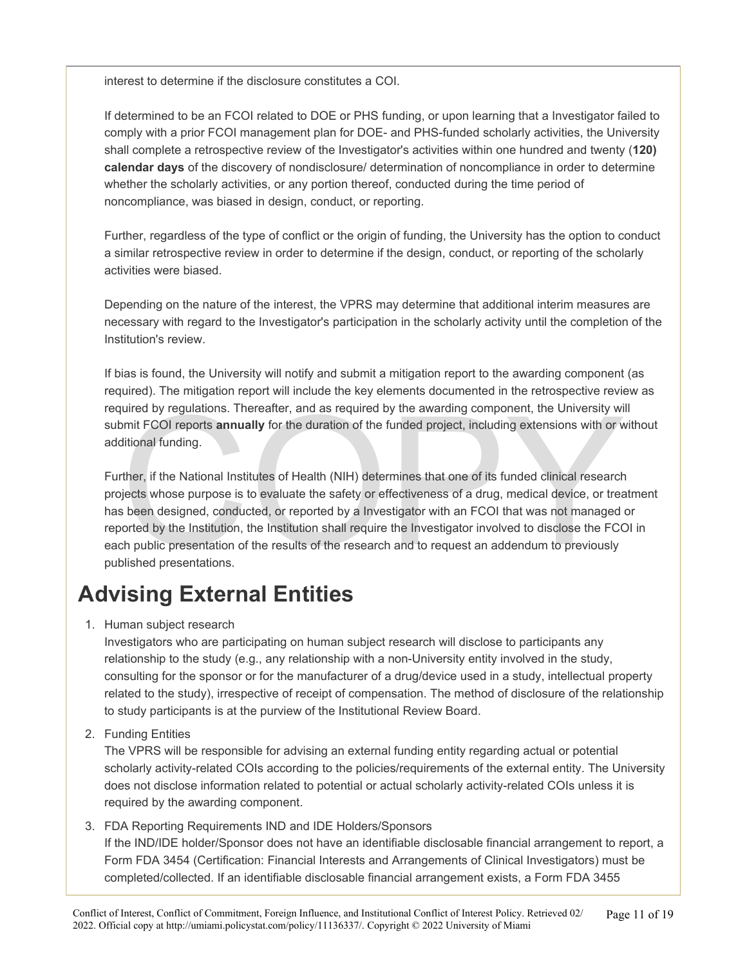interest to determine if the disclosure constitutes a COI.

If determined to be an FCOI related to DOE or PHS funding, or upon learning that a Investigator failed to comply with a prior FCOI management plan for DOE- and PHS-funded scholarly activities, the University shall complete a retrospective review of the Investigator's activities within one hundred and twenty (**120) calendar days** of the discovery of nondisclosure/ determination of noncompliance in order to determine whether the scholarly activities, or any portion thereof, conducted during the time period of noncompliance, was biased in design, conduct, or reporting.

Further, regardless of the type of conflict or the origin of funding, the University has the option to conduct a similar retrospective review in order to determine if the design, conduct, or reporting of the scholarly activities were biased.

Depending on the nature of the interest, the VPRS may determine that additional interim measures are necessary with regard to the Investigator's participation in the scholarly activity until the completion of the Institution's review.

If bias is found, the University will notify and submit a mitigation report to the awarding component (as required). The mitigation report will include the key elements documented in the retrospective review as required by regulations. Thereafter, and as required by the awarding component, the University will submit FCOI reports **annually** for the duration of the funded project, including extensions with or without additional funding.

quired by regulations. Thereafter, and as required by the awarding component, the University wire FCOI reports **annually** for the duration of the funded project, including extensions with or witional funding.<br>There, if the Further, if the National Institutes of Health (NIH) determines that one of its funded clinical research projects whose purpose is to evaluate the safety or effectiveness of a drug, medical device, or treatment has been designed, conducted, or reported by a Investigator with an FCOI that was not managed or reported by the Institution, the Institution shall require the Investigator involved to disclose the FCOI in each public presentation of the results of the research and to request an addendum to previously published presentations.

### **Advising External Entities**

#### 1. Human subject research

Investigators who are participating on human subject research will disclose to participants any relationship to the study (e.g., any relationship with a non-University entity involved in the study, consulting for the sponsor or for the manufacturer of a drug/device used in a study, intellectual property related to the study), irrespective of receipt of compensation. The method of disclosure of the relationship to study participants is at the purview of the Institutional Review Board.

2. Funding Entities

The VPRS will be responsible for advising an external funding entity regarding actual or potential scholarly activity-related COIs according to the policies/requirements of the external entity. The University does not disclose information related to potential or actual scholarly activity-related COIs unless it is required by the awarding component.

#### 3. FDA Reporting Requirements IND and IDE Holders/Sponsors

If the IND/IDE holder/Sponsor does not have an identifiable disclosable financial arrangement to report, a Form FDA 3454 (Certification: Financial Interests and Arrangements of Clinical Investigators) must be completed/collected. If an identifiable disclosable financial arrangement exists, a Form FDA 3455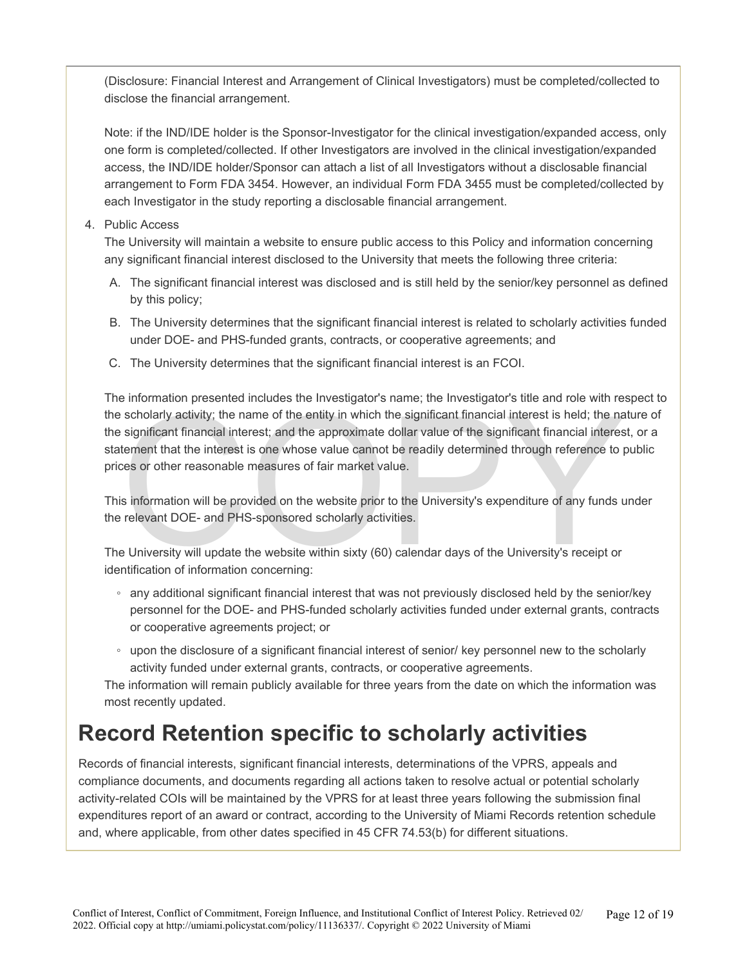(Disclosure: Financial Interest and Arrangement of Clinical Investigators) must be completed/collected to disclose the financial arrangement.

Note: if the IND/IDE holder is the Sponsor-Investigator for the clinical investigation/expanded access, only one form is completed/collected. If other Investigators are involved in the clinical investigation/expanded access, the IND/IDE holder/Sponsor can attach a list of all Investigators without a disclosable financial arrangement to Form FDA 3454. However, an individual Form FDA 3455 must be completed/collected by each Investigator in the study reporting a disclosable financial arrangement.

#### 4. Public Access

The University will maintain a website to ensure public access to this Policy and information concerning any significant financial interest disclosed to the University that meets the following three criteria:

- A. The significant financial interest was disclosed and is still held by the senior/key personnel as defined by this policy;
- B. The University determines that the significant financial interest is related to scholarly activities funded under DOE- and PHS-funded grants, contracts, or cooperative agreements; and
- C. The University determines that the significant financial interest is an FCOI.

scholarly activity; the name of the entity in which the significant financial interest is held; the name significant financial interest; and the approximate dollar value of the significant financial interest is held; the n The information presented includes the Investigator's name; the Investigator's title and role with respect to the scholarly activity; the name of the entity in which the significant financial interest is held; the nature of the significant financial interest; and the approximate dollar value of the significant financial interest, or a statement that the interest is one whose value cannot be readily determined through reference to public prices or other reasonable measures of fair market value.

This information will be provided on the website prior to the University's expenditure of any funds under the relevant DOE- and PHS-sponsored scholarly activities.

The University will update the website within sixty (60) calendar days of the University's receipt or identification of information concerning:

- any additional significant financial interest that was not previously disclosed held by the senior/key personnel for the DOE- and PHS-funded scholarly activities funded under external grants, contracts or cooperative agreements project; or
- upon the disclosure of a significant financial interest of senior/ key personnel new to the scholarly activity funded under external grants, contracts, or cooperative agreements.

The information will remain publicly available for three years from the date on which the information was most recently updated.

#### **Record Retention specific to scholarly activities**

Records of financial interests, significant financial interests, determinations of the VPRS, appeals and compliance documents, and documents regarding all actions taken to resolve actual or potential scholarly activity-related COIs will be maintained by the VPRS for at least three years following the submission final expenditures report of an award or contract, according to the University of Miami Records retention schedule and, where applicable, from other dates specified in 45 CFR 74.53(b) for different situations.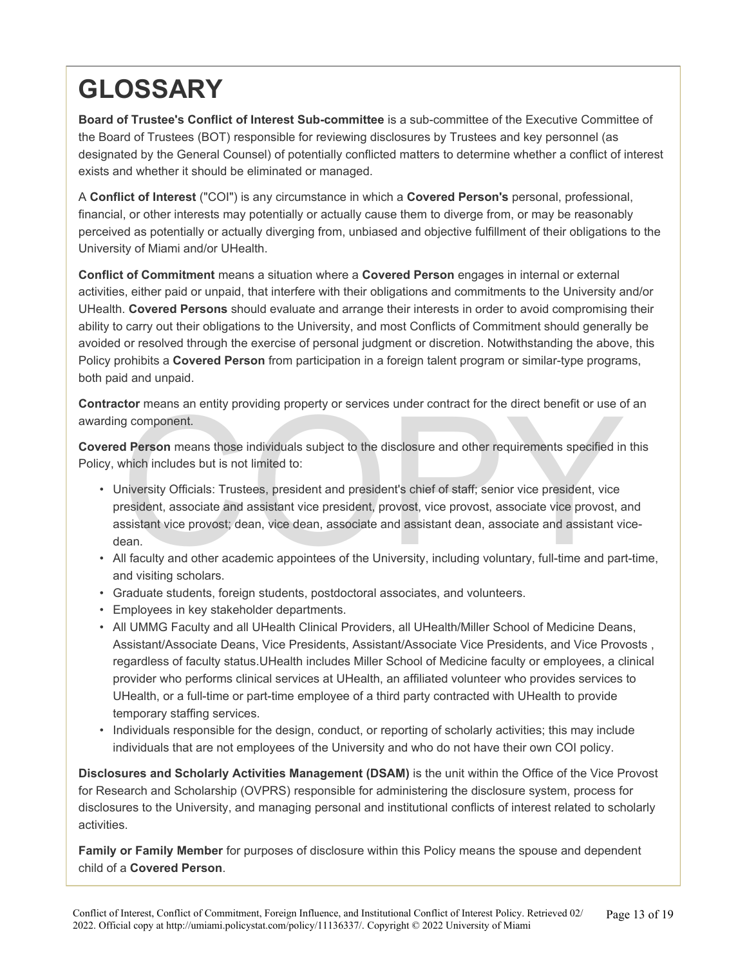# **GLOSSARY**

**Board of Trustee's Conflict of Interest Sub-committee** is a sub-committee of the Executive Committee of the Board of Trustees (BOT) responsible for reviewing disclosures by Trustees and key personnel (as designated by the General Counsel) of potentially conflicted matters to determine whether a conflict of interest exists and whether it should be eliminated or managed.

A **Conflict of Interest** ("COI") is any circumstance in which a **Covered Person's** personal, professional, financial, or other interests may potentially or actually cause them to diverge from, or may be reasonably perceived as potentially or actually diverging from, unbiased and objective fulfillment of their obligations to the University of Miami and/or UHealth.

**Conflict of Commitment** means a situation where a **Covered Person** engages in internal or external activities, either paid or unpaid, that interfere with their obligations and commitments to the University and/or UHealth. **Covered Persons** should evaluate and arrange their interests in order to avoid compromising their ability to carry out their obligations to the University, and most Conflicts of Commitment should generally be avoided or resolved through the exercise of personal judgment or discretion. Notwithstanding the above, this Policy prohibits a **Covered Person** from participation in a foreign talent program or similar-type programs, both paid and unpaid.

**Contractor** means an entity providing property or services under contract for the direct benefit or use of an awarding component.

**Covered Person** means those individuals subject to the disclosure and other requirements specified in this Policy, which includes but is not limited to:

- component.<br> **d Person** means those individuals subject to the disclosure and other requirements specified in<br>
the disclosure and other requirements specified in<br>
which includes but is not limited to:<br>
Iniversity Officials: • University Officials: Trustees, president and president's chief of staff; senior vice president, vice president, associate and assistant vice president, provost, vice provost, associate vice provost, and assistant vice provost; dean, vice dean, associate and assistant dean, associate and assistant vicedean.
- All faculty and other academic appointees of the University, including voluntary, full-time and part-time, and visiting scholars.
- Graduate students, foreign students, postdoctoral associates, and volunteers.
- Employees in key stakeholder departments.
- All UMMG Faculty and all UHealth Clinical Providers, all UHealth/Miller School of Medicine Deans, Assistant/Associate Deans, Vice Presidents, Assistant/Associate Vice Presidents, and Vice Provosts , regardless of faculty status.UHealth includes Miller School of Medicine faculty or employees, a clinical provider who performs clinical services at UHealth, an affiliated volunteer who provides services to UHealth, or a full-time or part-time employee of a third party contracted with UHealth to provide temporary staffing services.
- Individuals responsible for the design, conduct, or reporting of scholarly activities; this may include individuals that are not employees of the University and who do not have their own COI policy.

**Disclosures and Scholarly Activities Management (DSAM)** is the unit within the Office of the Vice Provost for Research and Scholarship (OVPRS) responsible for administering the disclosure system, process for disclosures to the University, and managing personal and institutional conflicts of interest related to scholarly activities.

**Family or Family Member** for purposes of disclosure within this Policy means the spouse and dependent child of a **Covered Person**.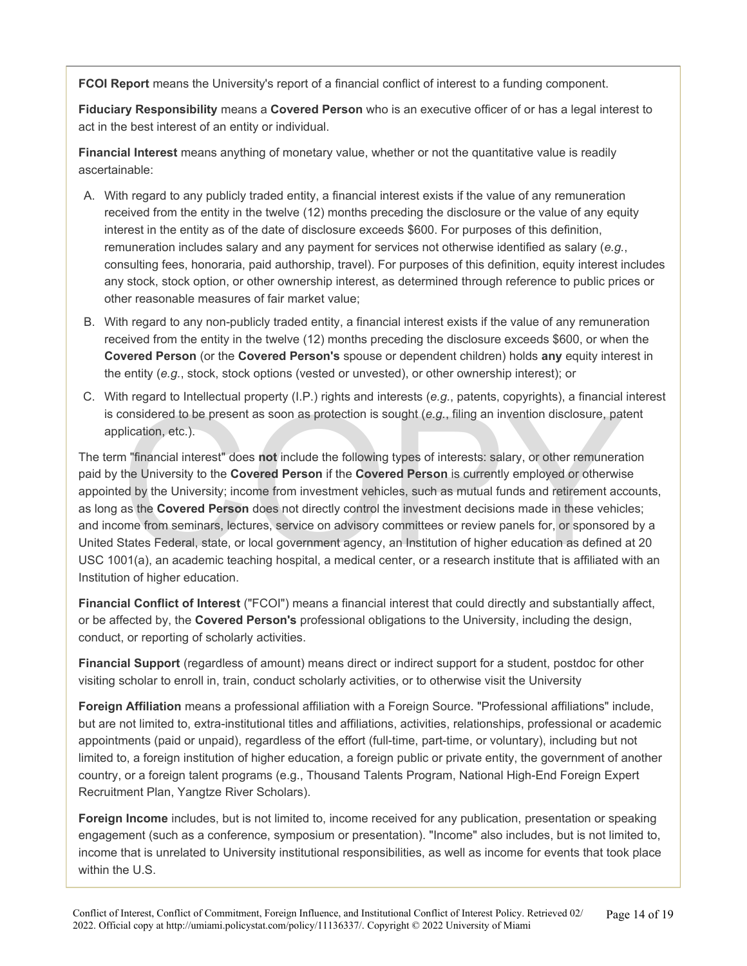**FCOI Report** means the University's report of a financial conflict of interest to a funding component.

**Fiduciary Responsibility** means a **Covered Person** who is an executive officer of or has a legal interest to act in the best interest of an entity or individual.

**Financial Interest** means anything of monetary value, whether or not the quantitative value is readily ascertainable:

- A. With regard to any publicly traded entity, a financial interest exists if the value of any remuneration received from the entity in the twelve (12) months preceding the disclosure or the value of any equity interest in the entity as of the date of disclosure exceeds \$600. For purposes of this definition, remuneration includes salary and any payment for services not otherwise identified as salary (*e.g.*, consulting fees, honoraria, paid authorship, travel). For purposes of this definition, equity interest includes any stock, stock option, or other ownership interest, as determined through reference to public prices or other reasonable measures of fair market value;
- B. With regard to any non-publicly traded entity, a financial interest exists if the value of any remuneration received from the entity in the twelve (12) months preceding the disclosure exceeds \$600, or when the **Covered Person** (or the **Covered Person's** spouse or dependent children) holds **any** equity interest in the entity (*e.g.*, stock, stock options (vested or unvested), or other ownership interest); or
- C. With regard to Intellectual property (I.P.) rights and interests (*e.g.*, patents, copyrights), a financial interest is considered to be present as soon as protection is sought (*e.g.*, filing an invention disclosure, patent application, etc.).

intervalser of the present as soon as protection is sought (e.g., filing an invention disclosure, patition, etc.).<br>In "financial interest" does not include the following types of interests: salary, or other remunerathe Uni The term "financial interest" does **not** include the following types of interests: salary, or other remuneration paid by the University to the **Covered Person** if the **Covered Person** is currently employed or otherwise appointed by the University; income from investment vehicles, such as mutual funds and retirement accounts, as long as the **Covered Person** does not directly control the investment decisions made in these vehicles; and income from seminars, lectures, service on advisory committees or review panels for, or sponsored by a United States Federal, state, or local government agency, an Institution of higher education as defined at 20 USC 1001(a), an academic teaching hospital, a medical center, or a research institute that is affiliated with an Institution of higher education.

**Financial Conflict of Interest** ("FCOI") means a financial interest that could directly and substantially affect, or be affected by, the **Covered Person's** professional obligations to the University, including the design, conduct, or reporting of scholarly activities.

**Financial Support** (regardless of amount) means direct or indirect support for a student, postdoc for other visiting scholar to enroll in, train, conduct scholarly activities, or to otherwise visit the University

**Foreign Affiliation** means a professional affiliation with a Foreign Source. "Professional affiliations" include, but are not limited to, extra-institutional titles and affiliations, activities, relationships, professional or academic appointments (paid or unpaid), regardless of the effort (full-time, part-time, or voluntary), including but not limited to, a foreign institution of higher education, a foreign public or private entity, the government of another country, or a foreign talent programs (e.g., Thousand Talents Program, National High-End Foreign Expert Recruitment Plan, Yangtze River Scholars).

**Foreign Income** includes, but is not limited to, income received for any publication, presentation or speaking engagement (such as a conference, symposium or presentation). "Income" also includes, but is not limited to, income that is unrelated to University institutional responsibilities, as well as income for events that took place within the U.S.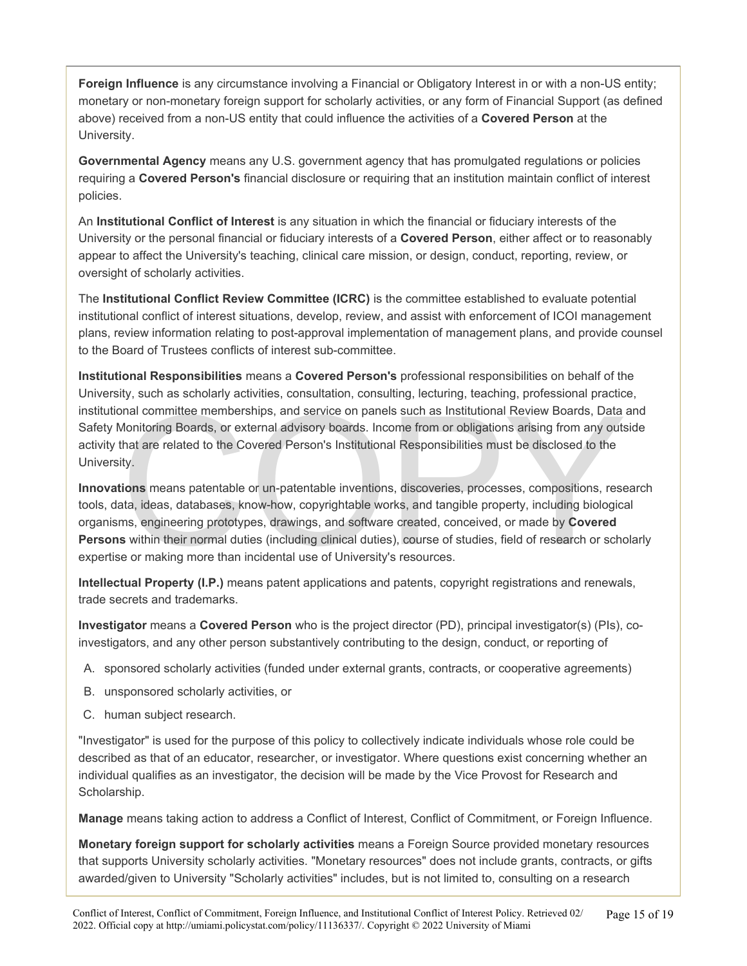**Foreign Influence** is any circumstance involving a Financial or Obligatory Interest in or with a non-US entity; monetary or non-monetary foreign support for scholarly activities, or any form of Financial Support (as defined above) received from a non-US entity that could influence the activities of a **Covered Person** at the University.

**Governmental Agency** means any U.S. government agency that has promulgated regulations or policies requiring a **Covered Person's** financial disclosure or requiring that an institution maintain conflict of interest policies.

An **Institutional Conflict of Interest** is any situation in which the financial or fiduciary interests of the University or the personal financial or fiduciary interests of a **Covered Person**, either affect or to reasonably appear to affect the University's teaching, clinical care mission, or design, conduct, reporting, review, or oversight of scholarly activities.

The **Institutional Conflict Review Committee (ICRC)** is the committee established to evaluate potential institutional conflict of interest situations, develop, review, and assist with enforcement of ICOI management plans, review information relating to post-approval implementation of management plans, and provide counsel to the Board of Trustees conflicts of interest sub-committee.

**Institutional Responsibilities** means a **Covered Person's** professional responsibilities on behalf of the University, such as scholarly activities, consultation, consulting, lecturing, teaching, professional practice, institutional committee memberships, and service on panels such as Institutional Review Boards, Data and Safety Monitoring Boards, or external advisory boards. Income from or obligations arising from any outside activity that are related to the Covered Person's Institutional Responsibilities must be disclosed to the University.

or and committee memberships, and service on panels such as Institutional Review Boards, Data<br>Monitoring Boards, or external advisory boards. Income from or obligations arising from any outs<br>that are related to the Covered **Innovations** means patentable or un-patentable inventions, discoveries, processes, compositions, research tools, data, ideas, databases, know-how, copyrightable works, and tangible property, including biological organisms, engineering prototypes, drawings, and software created, conceived, or made by **Covered Persons** within their normal duties (including clinical duties), course of studies, field of research or scholarly expertise or making more than incidental use of University's resources.

**Intellectual Property (I.P.)** means patent applications and patents, copyright registrations and renewals, trade secrets and trademarks.

**Investigator** means a **Covered Person** who is the project director (PD), principal investigator(s) (PIs), coinvestigators, and any other person substantively contributing to the design, conduct, or reporting of

- A. sponsored scholarly activities (funded under external grants, contracts, or cooperative agreements)
- B. unsponsored scholarly activities, or
- C. human subject research.

"Investigator" is used for the purpose of this policy to collectively indicate individuals whose role could be described as that of an educator, researcher, or investigator. Where questions exist concerning whether an individual qualifies as an investigator, the decision will be made by the Vice Provost for Research and Scholarship.

**Manage** means taking action to address a Conflict of Interest, Conflict of Commitment, or Foreign Influence.

**Monetary foreign support for scholarly activities** means a Foreign Source provided monetary resources that supports University scholarly activities. "Monetary resources" does not include grants, contracts, or gifts awarded/given to University "Scholarly activities" includes, but is not limited to, consulting on a research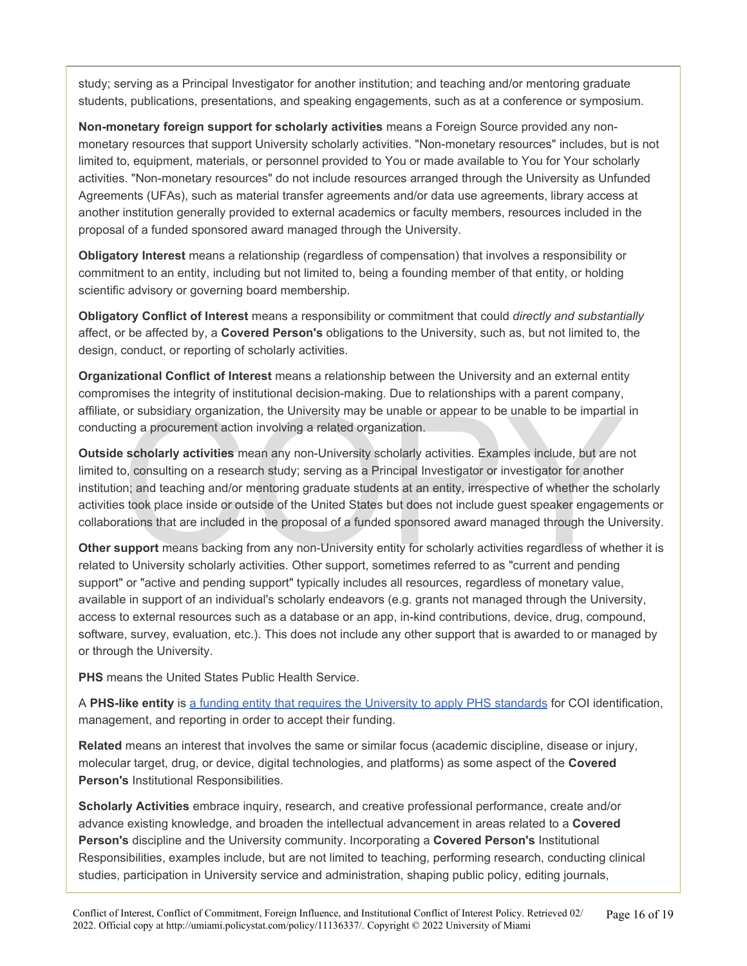study; serving as a Principal Investigator for another institution; and teaching and/or mentoring graduate students, publications, presentations, and speaking engagements, such as at a conference or symposium.

**Non-monetary foreign support for scholarly activities** means a Foreign Source provided any nonmonetary resources that support University scholarly activities. "Non-monetary resources" includes, but is not limited to, equipment, materials, or personnel provided to You or made available to You for Your scholarly activities. "Non-monetary resources" do not include resources arranged through the University as Unfunded Agreements (UFAs), such as material transfer agreements and/or data use agreements, library access at another institution generally provided to external academics or faculty members, resources included in the proposal of a funded sponsored award managed through the University.

**Obligatory Interest** means a relationship (regardless of compensation) that involves a responsibility or commitment to an entity, including but not limited to, being a founding member of that entity, or holding scientific advisory or governing board membership.

**Obligatory Conflict of Interest** means a responsibility or commitment that could *directly and substantially*  affect, or be affected by, a **Covered Person's** obligations to the University, such as, but not limited to, the design, conduct, or reporting of scholarly activities.

**Organizational Conflict of Interest** means a relationship between the University and an external entity compromises the integrity of institutional decision-making. Due to relationships with a parent company, affiliate, or subsidiary organization, the University may be unable or appear to be unable to be impartial in conducting a procurement action involving a related organization.

or subsidiary organization, the University may be unable or appear to be unable to be impartial<br>ing a procurement action involving a related organization.<br> **scholarly activities** mean any non-University scholarly activitie **Outside scholarly activities** mean any non-University scholarly activities. Examples include, but are not limited to, consulting on a research study; serving as a Principal Investigator or investigator for another institution; and teaching and/or mentoring graduate students at an entity, irrespective of whether the scholarly activities took place inside or outside of the United States but does not include guest speaker engagements or collaborations that are included in the proposal of a funded sponsored award managed through the University.

**Other support** means backing from any non-University entity for scholarly activities regardless of whether it is related to University scholarly activities. Other support, sometimes referred to as "current and pending support" or "active and pending support" typically includes all resources, regardless of monetary value, available in support of an individual's scholarly endeavors (e.g. grants not managed through the University, access to external resources such as a database or an app, in-kind contributions, device, drug, compound, software, survey, evaluation, etc.). This does not include any other support that is awarded to or managed by or through the University.

**PHS** means the United States Public Health Service.

A **PHS-like entity** is [a funding entity that requires the University to apply PHS standards](https://research.miami.edu/_assets/pdf/udisclose/phs-list.pdf) for COI identification, management, and reporting in order to accept their funding.

**Related** means an interest that involves the same or similar focus (academic discipline, disease or injury, molecular target, drug, or device, digital technologies, and platforms) as some aspect of the **Covered Person's** Institutional Responsibilities.

**Scholarly Activities** embrace inquiry, research, and creative professional performance, create and/or advance existing knowledge, and broaden the intellectual advancement in areas related to a **Covered Person's** discipline and the University community. Incorporating a **Covered Person's** Institutional Responsibilities, examples include, but are not limited to teaching, performing research, conducting clinical studies, participation in University service and administration, shaping public policy, editing journals,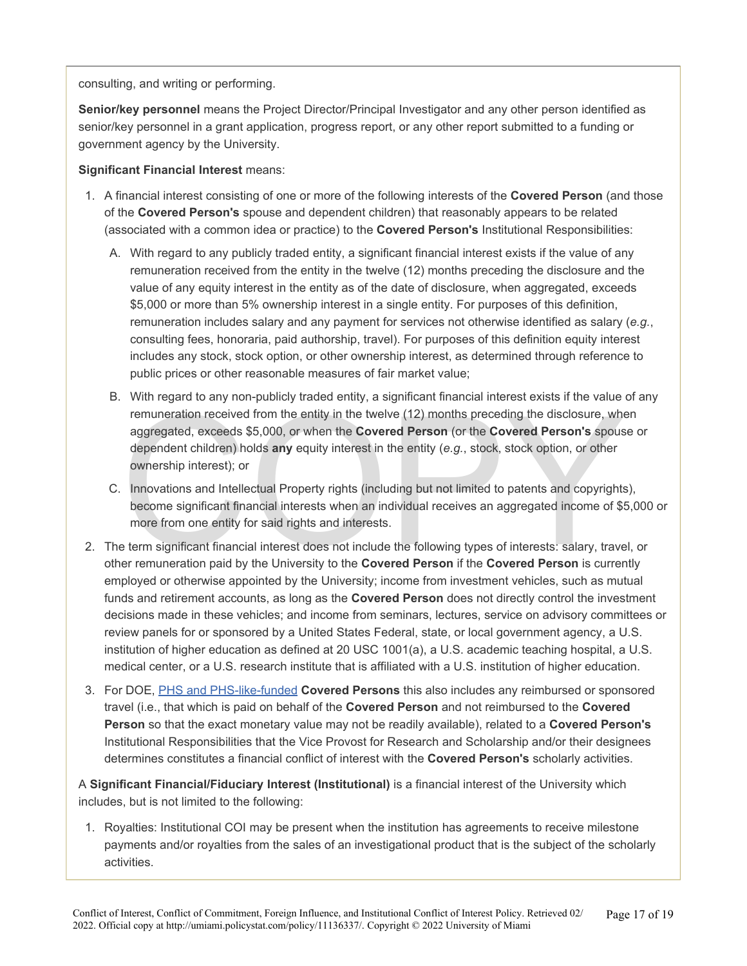consulting, and writing or performing.

**Senior/key personnel** means the Project Director/Principal Investigator and any other person identified as senior/key personnel in a grant application, progress report, or any other report submitted to a funding or government agency by the University.

#### **Significant Financial Interest** means:

- 1. A financial interest consisting of one or more of the following interests of the **Covered Person** (and those of the **Covered Person's** spouse and dependent children) that reasonably appears to be related (associated with a common idea or practice) to the **Covered Person's** Institutional Responsibilities:
	- A. With regard to any publicly traded entity, a significant financial interest exists if the value of any remuneration received from the entity in the twelve (12) months preceding the disclosure and the value of any equity interest in the entity as of the date of disclosure, when aggregated, exceeds \$5,000 or more than 5% ownership interest in a single entity. For purposes of this definition, remuneration includes salary and any payment for services not otherwise identified as salary (*e.g.*, consulting fees, honoraria, paid authorship, travel). For purposes of this definition equity interest includes any stock, stock option, or other ownership interest, as determined through reference to public prices or other reasonable measures of fair market value;
	- renuneration received from the entity in the twelve (12) months preceding the disclosure, what aggregated, exceeds \$5,000, or when the **Covered Person** (or the **Covered Person's** spous dependent children) holds any equity B. With regard to any non-publicly traded entity, a significant financial interest exists if the value of any remuneration received from the entity in the twelve (12) months preceding the disclosure, when aggregated, exceeds \$5,000, or when the **Covered Person** (or the **Covered Person's** spouse or dependent children) holds **any** equity interest in the entity (*e.g.*, stock, stock option, or other ownership interest); or
	- C. Innovations and Intellectual Property rights (including but not limited to patents and copyrights), become significant financial interests when an individual receives an aggregated income of \$5,000 or more from one entity for said rights and interests.
- 2. The term significant financial interest does not include the following types of interests: salary, travel, or other remuneration paid by the University to the **Covered Person** if the **Covered Person** is currently employed or otherwise appointed by the University; income from investment vehicles, such as mutual funds and retirement accounts, as long as the **Covered Person** does not directly control the investment decisions made in these vehicles; and income from seminars, lectures, service on advisory committees or review panels for or sponsored by a United States Federal, state, or local government agency, a U.S. institution of higher education as defined at 20 USC 1001(a), a U.S. academic teaching hospital, a U.S. medical center, or a U.S. research institute that is affiliated with a U.S. institution of higher education.
- 3. For DOE, [PHS](https://research.miami.edu/_assets/pdf/udisclose/phs-list.pdf) [and PHS-like-funded](https://research.miami.edu/_assets/pdf/udisclose/phs-list.pdf) **Covered Persons** this also includes any reimbursed or sponsored travel (i.e., that which is paid on behalf of the **Covered Person** and not reimbursed to the **Covered Person** so that the exact monetary value may not be readily available), related to a **Covered Person's**  Institutional Responsibilities that the Vice Provost for Research and Scholarship and/or their designees determines constitutes a financial conflict of interest with the **Covered Person's** scholarly activities.

A **Significant Financial/Fiduciary Interest (Institutional)** is a financial interest of the University which includes, but is not limited to the following:

1. Royalties: Institutional COI may be present when the institution has agreements to receive milestone payments and/or royalties from the sales of an investigational product that is the subject of the scholarly activities.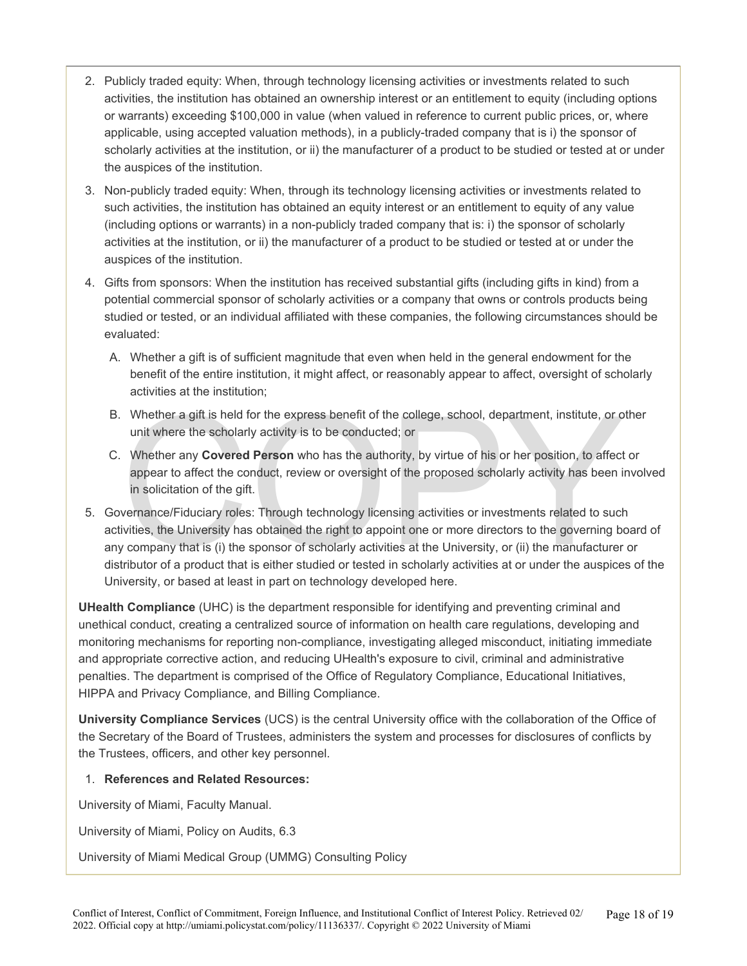- 2. Publicly traded equity: When, through technology licensing activities or investments related to such activities, the institution has obtained an ownership interest or an entitlement to equity (including options or warrants) exceeding \$100,000 in value (when valued in reference to current public prices, or, where applicable, using accepted valuation methods), in a publicly-traded company that is i) the sponsor of scholarly activities at the institution, or ii) the manufacturer of a product to be studied or tested at or under the auspices of the institution.
- 3. Non-publicly traded equity: When, through its technology licensing activities or investments related to such activities, the institution has obtained an equity interest or an entitlement to equity of any value (including options or warrants) in a non-publicly traded company that is: i) the sponsor of scholarly activities at the institution, or ii) the manufacturer of a product to be studied or tested at or under the auspices of the institution.
- 4. Gifts from sponsors: When the institution has received substantial gifts (including gifts in kind) from a potential commercial sponsor of scholarly activities or a company that owns or controls products being studied or tested, or an individual affiliated with these companies, the following circumstances should be evaluated:
	- A. Whether a gift is of sufficient magnitude that even when held in the general endowment for the benefit of the entire institution, it might affect, or reasonably appear to affect, oversight of scholarly activities at the institution;
	- B. Whether a gift is held for the express benefit of the college, school, department, institute, or other unit where the scholarly activity is to be conducted; or
	- C. Whether any **Covered Person** who has the authority, by virtue of his or her position, to affect or appear to affect the conduct, review or oversight of the proposed scholarly activity has been involved in solicitation of the gift.
- Whether a gift is held for the express benefit of the college, school, department, institute, or o<br>unit where the scholarly activity is to be conducted; or<br>Whether any **Covered Person** who has the authority, by virtue of h 5. Governance/Fiduciary roles: Through technology licensing activities or investments related to such activities, the University has obtained the right to appoint one or more directors to the governing board of any company that is (i) the sponsor of scholarly activities at the University, or (ii) the manufacturer or distributor of a product that is either studied or tested in scholarly activities at or under the auspices of the University, or based at least in part on technology developed here.

**UHealth Compliance** (UHC) is the department responsible for identifying and preventing criminal and unethical conduct, creating a centralized source of information on health care regulations, developing and monitoring mechanisms for reporting non-compliance, investigating alleged misconduct, initiating immediate and appropriate corrective action, and reducing UHealth's exposure to civil, criminal and administrative penalties. The department is comprised of the Office of Regulatory Compliance, Educational Initiatives, HIPPA and Privacy Compliance, and Billing Compliance.

**University Compliance Services** (UCS) is the central University office with the collaboration of the Office of the Secretary of the Board of Trustees, administers the system and processes for disclosures of conflicts by the Trustees, officers, and other key personnel.

#### 1. **References and Related Resources:**

University of Miami, Faculty Manual.

University of Miami, Policy on Audits, 6.3

University of Miami Medical Group (UMMG) Consulting Policy